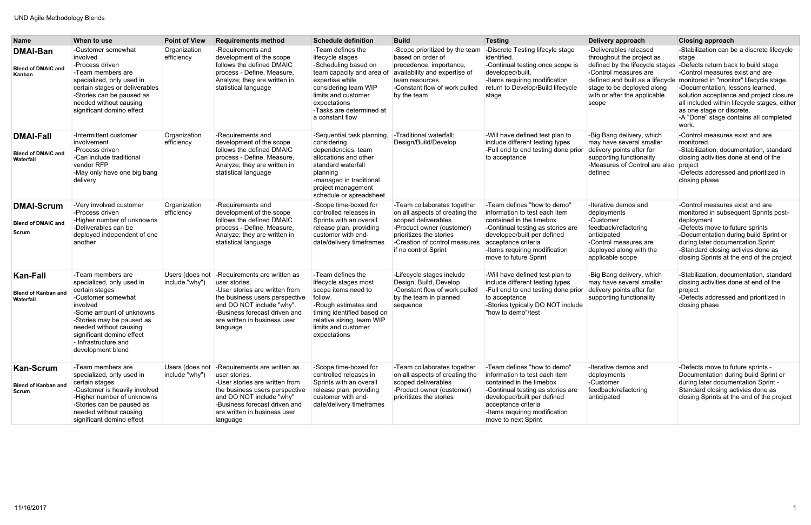| <b>Name</b>                                                | When to use                                                                                                                                                                                                                                                     | <b>Point of View</b>              | <b>Requirements method</b>                                                                                                                                                                                                  | <b>Schedule definition</b>                                                                                                                                                                                                  | <b>Build</b>                                                                                                                                                                                          | <b>Testing</b>                                                                                                                                                                                                                                | Delivery approach                                                                                                                                                                      | <b>Closing approach</b>                                                                                                                                                                                                                                                                                                                                                                                                  |
|------------------------------------------------------------|-----------------------------------------------------------------------------------------------------------------------------------------------------------------------------------------------------------------------------------------------------------------|-----------------------------------|-----------------------------------------------------------------------------------------------------------------------------------------------------------------------------------------------------------------------------|-----------------------------------------------------------------------------------------------------------------------------------------------------------------------------------------------------------------------------|-------------------------------------------------------------------------------------------------------------------------------------------------------------------------------------------------------|-----------------------------------------------------------------------------------------------------------------------------------------------------------------------------------------------------------------------------------------------|----------------------------------------------------------------------------------------------------------------------------------------------------------------------------------------|--------------------------------------------------------------------------------------------------------------------------------------------------------------------------------------------------------------------------------------------------------------------------------------------------------------------------------------------------------------------------------------------------------------------------|
| <b>DMAI-Ban</b><br><b>Blend of DMAIC and</b><br>Kanban     | -Customer somewhat<br>involved<br>-Process driven<br>-Team members are<br>specialized, only used in<br>certain stages or deliverables<br>-Stories can be paused as<br>needed without causing<br>significant domino effect                                       | Organization<br>efficiency        | -Requirements and<br>development of the scope<br>follows the defined DMAIC<br>process - Define, Measure,<br>Analyze; they are written in<br>statistical language                                                            | -Team defines the<br>lifecycle stages<br>-Scheduling based on<br>team capacity and area of<br>expertise while<br>considering team WIP<br>limits and customer<br>expectations<br>-Tasks are determined at<br>a constant flow | -Scope prioritized by the team<br>based on order of<br>precedence, importance,<br>availability and expertise of<br>team resources<br>-Constant flow of work pulled<br>by the team                     | -Discrete Testing lifecyle stage<br>identified.<br>-Continual testing once scope is<br>developed/built.<br>-Items requiring modification<br>return to Develop/Build lifecycle<br>stage                                                        | -Deliverables released<br>throughout the project as<br>defined by the lifecycle stages<br>-Control measures are<br>stage to be deployed along<br>with or after the applicable<br>scope | -Stabilization can be a discrete lifecycle<br>stage<br>-Defects return back to build stage<br>-Control measures exist and are<br>defined and built as a lifecycle monitored in "monitor" lifecycle stage.<br>-Documentation, lessons learned,<br>solution acceptance and project closure<br>all included within lifecycle stages, either<br>as one stage or discrete.<br>-A "Done" stage contains all completed<br>work. |
| <b>DMAI-Fall</b><br><b>Blend of DMAIC and</b><br>Waterfall | -Intermittent customer<br>involvement<br>-Process driven<br>-Can include traditional<br>vendor RFP<br>-May only have one big bang<br>delivery                                                                                                                   | Organization<br>efficiency        | -Requirements and<br>development of the scope<br>follows the defined DMAIC<br>process - Define, Measure,<br>Analyze; they are written in<br>statistical language                                                            | -Sequential task planning,<br>considering<br>dependencies, team<br>allocations and other<br>standard waterfall<br>planning<br>-managed in traditional<br>project management<br>schedule or spreadsheet                      | -Traditional waterfall:<br>Design/Build/Develop                                                                                                                                                       | -Will have defined test plan to<br>include different testing types<br>-Full end to end testing done prior<br>to acceptance                                                                                                                    | -Big Bang delivery, which<br>may have several smaller<br>delivery points after for<br>supporting functionality<br>-Measures of Control are also<br>defined                             | -Control measures exist and are<br>monitored.<br>-Stabilization, documentation, standard<br>closing activities done at end of the<br>project<br>-Defects addressed and prioritized in<br>closing phase                                                                                                                                                                                                                   |
| <b>DMAI-Scrum</b><br><b>Blend of DMAIC and</b><br>Scrum    | -Very involved customer<br>-Process driven<br>-Higher number of unknowns<br>-Deliverables can be<br>deployed independent of one<br>another                                                                                                                      | Organization<br>efficiency        | -Requirements and<br>development of the scope<br>follows the defined DMAIC<br>process - Define, Measure,<br>Analyze; they are written in<br>statistical language                                                            | -Scope time-boxed for<br>controlled releases in<br>Sprints with an overall<br>release plan, providing<br>customer with end-<br>date/delivery timeframes                                                                     | -Team collaborates together<br>on all aspects of creating the<br>scoped deliverables<br>-Product owner (customer)<br>prioritizes the stories<br>-Creation of control measures<br>if no control Sprint | -Team defines "how to demo"<br>information to test each item<br>contained in the timebox<br>-Continual testing as stories are<br>developed/built per defined<br>acceptance criteria<br>-Items requiring modification<br>move to future Sprint | -Iterative demos and<br>deployments<br>-Customer<br>feedback/refactoring<br>anticipated<br>-Control measures are<br>deployed along with the<br>applicable scope                        | -Control measures exist and are<br>monitored in subsequent Sprints post-<br>deployment<br>-Defects move to future sprints<br>-Documentation during build Sprint or<br>during later documentation Sprint<br>-Standard closing activies done as<br>closing Sprints at the end of the project                                                                                                                               |
| Kan-Fall<br><b>Blend of Kanban and</b><br>Waterfall        | -Team members are<br>specialized, only used in<br>certain stages<br>-Customer somewhat<br>involved<br>-Some amount of unknowns<br>-Stories may be paused as<br>needed without causing<br>significant domino effect<br>- Infrastructure and<br>development blend | Users (does not<br>include "why") | -Requirements are written as<br>user stories.<br>-User stories are written from<br>the business users perspective<br>and DO NOT include "why".<br>-Business forecast driven and<br>are written in business user<br>language | -Team defines the<br>lifecycle stages most<br>scope items need to<br>follow.<br>-Rough estimates and<br>timing identified based on<br>relative sizing, team WIP<br>limits and customer<br>expectations                      | -Lifecycle stages include<br>Design, Build, Develop<br>-Constant flow of work pulled<br>by the team in planned<br>sequence                                                                            | -Will have defined test plan to<br>include different testing types<br>-Full end to end testing done prior<br>to acceptance<br>-Stories typically DO NOT include<br>"how to demo"/test                                                         | -Big Bang delivery, which<br>may have several smaller<br>delivery points after for<br>supporting functionality                                                                         | -Stabilization, documentation, standard<br>closing activities done at end of the<br>project<br>-Defects addressed and prioritized in<br>closing phase                                                                                                                                                                                                                                                                    |
| <b>Kan-Scrum</b><br><b>Blend of Kanban and</b><br>Scrum    | -Team members are<br>specialized, only used in<br>certain stages<br>-Customer is heavily involved<br>-Higher number of unknowns<br>-Stories can be paused as<br>needed without causing<br>significant domino effect                                             | Users (does not<br>include "why") | -Requirements are written as<br>user stories.<br>-User stories are written from<br>the business users perspective<br>and DO NOT include "why"<br>-Business forecast driven and<br>are written in business user<br>language  | -Scope time-boxed for<br>controlled releases in<br>Sprints with an overall<br>release plan, providing<br>customer with end-<br>date/delivery timeframes                                                                     | -Team collaborates together<br>on all aspects of creating the<br>scoped deliverables<br>-Product owner (customer)<br>prioritizes the stories                                                          | -Team defines "how to demo"<br>information to test each item<br>contained in the timebox<br>-Continual testing as stories are<br>developed/built per defined<br>acceptance criteria<br>-Items requiring modification<br>move to next Sprint   | -Iterative demos and<br>deployments<br>-Customer<br>feedback/refactoring<br>anticipated                                                                                                | -Defects move to future sprints -<br>Documentation during build Sprint or<br>during later documentation Sprint -<br>Standard closing activies done as<br>closing Sprints at the end of the project                                                                                                                                                                                                                       |